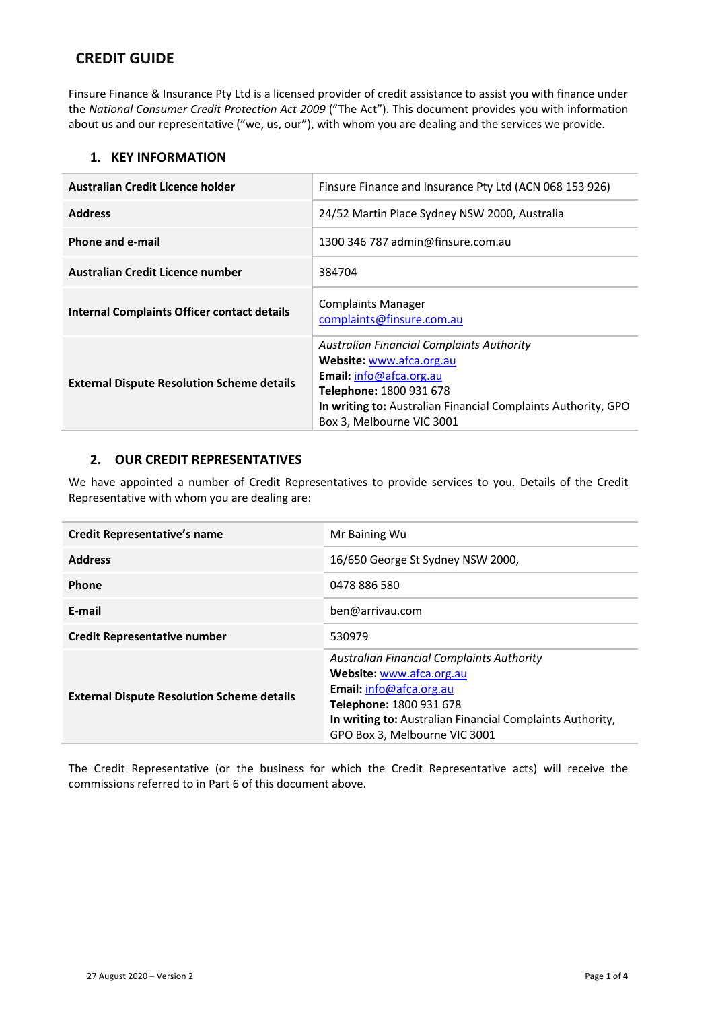# **CREDIT GUIDE**

Finsure Finance & Insurance Pty Ltd is a licensed provider of credit assistance to assist you with finance under the *National Consumer Credit Protection Act 2009* ("The Act"). This document provides you with information about us and our representative ("we, us, our"), with whom you are dealing and the services we provide.

# **1. KEY INFORMATION**

| Australian Credit Licence holder                   | Finsure Finance and Insurance Pty Ltd (ACN 068 153 926)                                                                                                                                                                          |
|----------------------------------------------------|----------------------------------------------------------------------------------------------------------------------------------------------------------------------------------------------------------------------------------|
| <b>Address</b>                                     | 24/52 Martin Place Sydney NSW 2000, Australia                                                                                                                                                                                    |
| Phone and e-mail                                   | 1300 346 787 admin@finsure.com.au                                                                                                                                                                                                |
| Australian Credit Licence number                   | 384704                                                                                                                                                                                                                           |
| <b>Internal Complaints Officer contact details</b> | <b>Complaints Manager</b><br>complaints@finsure.com.au                                                                                                                                                                           |
| <b>External Dispute Resolution Scheme details</b>  | Australian Financial Complaints Authority<br>Website: www.afca.org.au<br>Email: info@afca.org.au<br><b>Telephone: 1800 931 678</b><br>In writing to: Australian Financial Complaints Authority, GPO<br>Box 3, Melbourne VIC 3001 |

# **2. OUR CREDIT REPRESENTATIVES**

We have appointed a number of Credit Representatives to provide services to you. Details of the Credit Representative with whom you are dealing are:

| <b>Credit Representative's name</b>               | Mr Baining Wu                                                                                                                                                                                                                             |
|---------------------------------------------------|-------------------------------------------------------------------------------------------------------------------------------------------------------------------------------------------------------------------------------------------|
| <b>Address</b>                                    | 16/650 George St Sydney NSW 2000,                                                                                                                                                                                                         |
| Phone                                             | 0478 886 580                                                                                                                                                                                                                              |
| E-mail                                            | ben@arrivau.com                                                                                                                                                                                                                           |
| <b>Credit Representative number</b>               | 530979                                                                                                                                                                                                                                    |
| <b>External Dispute Resolution Scheme details</b> | <b>Australian Financial Complaints Authority</b><br>Website: www.afca.org.au<br><b>Email:</b> $info@afca.org.au$<br>Telephone: 1800 931 678<br>In writing to: Australian Financial Complaints Authority,<br>GPO Box 3, Melbourne VIC 3001 |

The Credit Representative (or the business for which the Credit Representative acts) will receive the commissions referred to in Part 6 of this document above.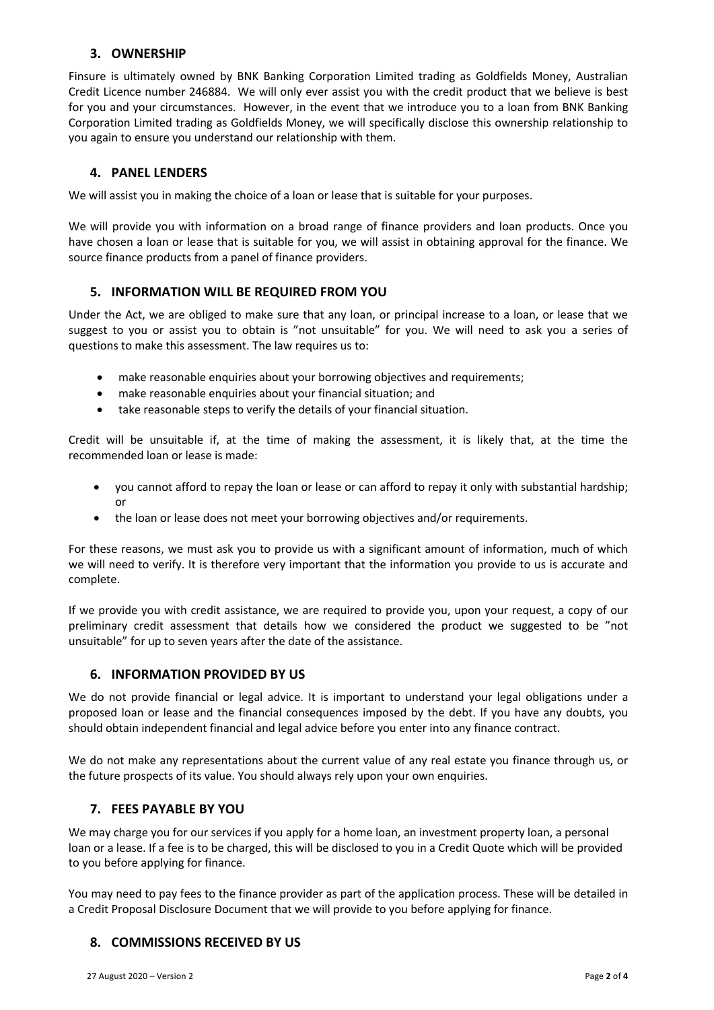# **3. OWNERSHIP**

Finsure is ultimately owned by BNK Banking Corporation Limited trading as Goldfields Money, Australian Credit Licence number 246884. We will only ever assist you with the credit product that we believe is best for you and your circumstances. However, in the event that we introduce you to a loan from BNK Banking Corporation Limited trading as Goldfields Money, we will specifically disclose this ownership relationship to you again to ensure you understand our relationship with them.

# **4. PANEL LENDERS**

We will assist you in making the choice of a loan or lease that is suitable for your purposes.

We will provide you with information on a broad range of finance providers and loan products. Once you have chosen a loan or lease that is suitable for you, we will assist in obtaining approval for the finance. We source finance products from a panel of finance providers.

#### **5. INFORMATION WILL BE REQUIRED FROM YOU**

Under the Act, we are obliged to make sure that any loan, or principal increase to a loan, or lease that we suggest to you or assist you to obtain is "not unsuitable" for you. We will need to ask you a series of questions to make this assessment. The law requires us to:

- make reasonable enquiries about your borrowing objectives and requirements;
- make reasonable enquiries about your financial situation; and
- take reasonable steps to verify the details of your financial situation.

Credit will be unsuitable if, at the time of making the assessment, it is likely that, at the time the recommended loan or lease is made:

- you cannot afford to repay the loan or lease or can afford to repay it only with substantial hardship; or
- the loan or lease does not meet your borrowing objectives and/or requirements.

For these reasons, we must ask you to provide us with a significant amount of information, much of which we will need to verify. It is therefore very important that the information you provide to us is accurate and complete.

If we provide you with credit assistance, we are required to provide you, upon your request, a copy of our preliminary credit assessment that details how we considered the product we suggested to be "not unsuitable" for up to seven years after the date of the assistance.

### **6. INFORMATION PROVIDED BY US**

We do not provide financial or legal advice. It is important to understand your legal obligations under a proposed loan or lease and the financial consequences imposed by the debt. If you have any doubts, you should obtain independent financial and legal advice before you enter into any finance contract.

We do not make any representations about the current value of any real estate you finance through us, or the future prospects of its value. You should always rely upon your own enquiries.

#### **7. FEES PAYABLE BY YOU**

We may charge you for our services if you apply for a home loan, an investment property loan, a personal loan or a lease. If a fee is to be charged, this will be disclosed to you in a Credit Quote which will be provided to you before applying for finance.

You may need to pay fees to the finance provider as part of the application process. These will be detailed in a Credit Proposal Disclosure Document that we will provide to you before applying for finance.

# **8. COMMISSIONS RECEIVED BY US**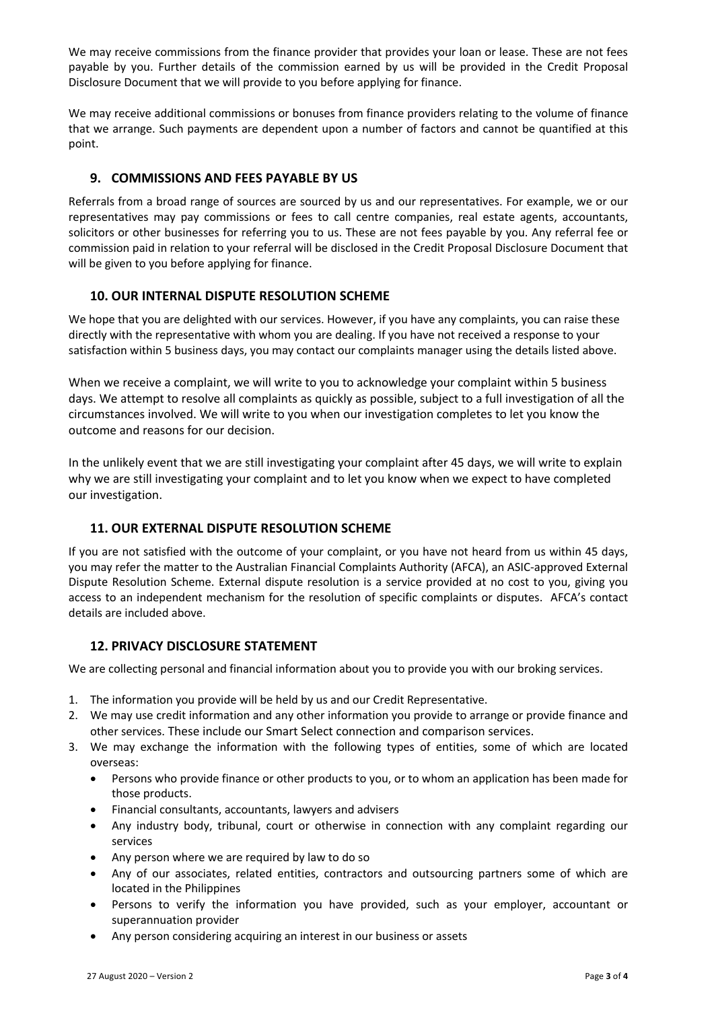We may receive commissions from the finance provider that provides your loan or lease. These are not fees payable by you. Further details of the commission earned by us will be provided in the Credit Proposal Disclosure Document that we will provide to you before applying for finance.

We may receive additional commissions or bonuses from finance providers relating to the volume of finance that we arrange. Such payments are dependent upon a number of factors and cannot be quantified at this point.

# **9. COMMISSIONS AND FEES PAYABLE BY US**

Referrals from a broad range of sources are sourced by us and our representatives. For example, we or our representatives may pay commissions or fees to call centre companies, real estate agents, accountants, solicitors or other businesses for referring you to us. These are not fees payable by you. Any referral fee or commission paid in relation to your referral will be disclosed in the Credit Proposal Disclosure Document that will be given to you before applying for finance.

## **10. OUR INTERNAL DISPUTE RESOLUTION SCHEME**

We hope that you are delighted with our services. However, if you have any complaints, you can raise these directly with the representative with whom you are dealing. If you have not received a response to your satisfaction within 5 business days, you may contact our complaints manager using the details listed above.

When we receive a complaint, we will write to you to acknowledge your complaint within 5 business days. We attempt to resolve all complaints as quickly as possible, subject to a full investigation of all the circumstances involved. We will write to you when our investigation completes to let you know the outcome and reasons for our decision.

In the unlikely event that we are still investigating your complaint after 45 days, we will write to explain why we are still investigating your complaint and to let you know when we expect to have completed our investigation.

# **11. OUR EXTERNAL DISPUTE RESOLUTION SCHEME**

If you are not satisfied with the outcome of your complaint, or you have not heard from us within 45 days, you may refer the matter to the Australian Financial Complaints Authority (AFCA), an ASIC-approved External Dispute Resolution Scheme. External dispute resolution is a service provided at no cost to you, giving you access to an independent mechanism for the resolution of specific complaints or disputes. AFCA's contact details are included above.

#### **12. PRIVACY DISCLOSURE STATEMENT**

We are collecting personal and financial information about you to provide you with our broking services.

- 1. The information you provide will be held by us and our Credit Representative.
- 2. We may use credit information and any other information you provide to arrange or provide finance and other services. These include our Smart Select connection and comparison services.
- 3. We may exchange the information with the following types of entities, some of which are located overseas:
	- Persons who provide finance or other products to you, or to whom an application has been made for those products.
	- Financial consultants, accountants, lawyers and advisers
	- Any industry body, tribunal, court or otherwise in connection with any complaint regarding our services
	- Any person where we are required by law to do so
	- Any of our associates, related entities, contractors and outsourcing partners some of which are located in the Philippines
	- Persons to verify the information you have provided, such as your employer, accountant or superannuation provider
	- Any person considering acquiring an interest in our business or assets